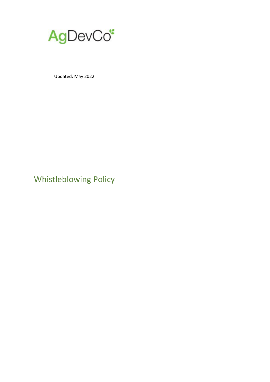

Updated: May 2022

Whistleblowing Policy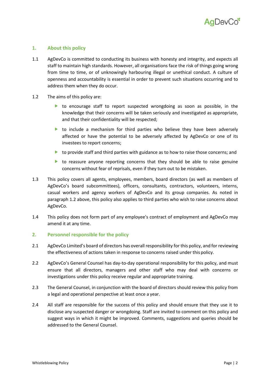

# **1. About this policy**

- 1.1 AgDevCo is committed to conducting its business with honesty and integrity, and expects all staff to maintain high standards. However, all organisations face the risk of things going wrong from time to time, or of unknowingly harbouring illegal or unethical conduct. A culture of openness and accountability is essential in order to prevent such situations occurring and to address them when they do occur.
- 1.2 The aims of this policy are:
	- to encourage staff to report suspected wrongdoing as soon as possible, in the knowledge that their concerns will be taken seriously and investigated as appropriate, and that their confidentiality will be respected;
	- **to include a mechanism for third parties who believe they have been adversely** affected or have the potential to be adversely affected by AgDevCo or one of its investees to report concerns;
	- $\triangleright$  to provide staff and third parties with guidance as to how to raise those concerns; and
	- to reassure anyone reporting concerns that they should be able to raise genuine concerns without fear of reprisals, even if they turn out to be mistaken.
- 1.3 This policy covers all agents, employees, members, board directors (as well as members of AgDevCo's board subcommittees), officers, consultants, contractors, volunteers, interns, casual workers and agency workers of AgDevCo and its group companies. As noted in paragraph 1.2 above, this policy also applies to third parties who wish to raise concerns about AgDevCo.
- 1.4 This policy does not form part of any employee's contract of employment and AgDevCo may amend it at any time.

## **2. Personnel responsible for the policy**

- 2.1 AgDevCo Limited's board of directors has overall responsibility for this policy, and for reviewing the effectiveness of actions taken in response to concerns raised under this policy.
- 2.2 AgDevCo's General Counsel has day-to-day operational responsibility for this policy, and must ensure that all directors, managers and other staff who may deal with concerns or investigations under this policy receive regular and appropriate training.
- 2.3 The General Counsel, in conjunction with the board of directors should review this policy from a legal and operational perspective at least once a year.
- 2.4 All staff are responsible for the success of this policy and should ensure that they use it to disclose any suspected danger or wrongdoing. Staff are invited to comment on this policy and suggest ways in which it might be improved. Comments, suggestions and queries should be addressed to the General Counsel.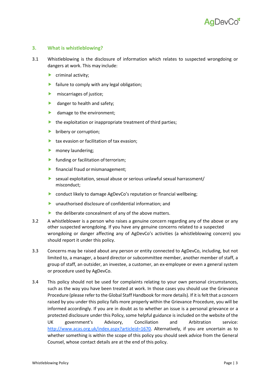

### **3. What is whistleblowing?**

- 3.1 Whistleblowing is the disclosure of information which relates to suspected wrongdoing or dangers at work. This may include:
	- $\blacktriangleright$  criminal activity;
	- **Failure to comply with any legal obligation;**
	- **Multimers** of justice;
	- **b** danger to health and safety;
	- **damage to the environment;**
	- $\blacktriangleright$  the exploitation or inappropriate treatment of third parties;
	- $\blacktriangleright$  bribery or corruption;
	- $\blacktriangleright$  tax evasion or facilitation of tax evasion;
	- **Money laundering;**
	- **Funding or facilitation of terrorism;**
	- $\blacktriangleright$  financial fraud or mismanagement;
	- sexual exploitation, sexual abuse or serious unlawful sexual harrassment/ misconduct;
	- ▶ conduct likely to damage AgDevCo's reputation or financial wellbeing;
	- ▶ unauthorised disclosure of confidential information; and
	- $\blacktriangleright$  the deliberate concealment of any of the above matters.
- 3.2 A whistleblower is a person who raises a genuine concern regarding any of the above or any other suspected wrongdoing. If you have any genuine concerns related to a suspected wrongdoing or danger affecting any of AgDevCo's activities (a whistleblowing concern) you should report it under this policy.
- 3.3 Concerns may be raised about any person or entity connected to AgDevCo, including, but not limited to, a manager, a board director or subcommittee member, another member of staff, a group of staff, an outsider, an investee, a customer, an ex-employee or even a general system or procedure used by AgDevCo.
- 3.4 This policy should not be used for complaints relating to your own personal circumstances, such as the way you have been treated at work. In those cases you should use the Grievance Procedure (please refer to the Global Staff Handbook for more details). If it is felt that a concern raised by you under this policy falls more properly within the Grievance Procedure, you will be informed accordingly. If you are in doubt as to whether an issue is a personal grievance or a protected disclosure under this Policy, some helpful guidance is included on the website of the UK government's Advisory, Conciliation and Arbitration service[:](http://www.acas.org.uk/index.aspx?articleid=1670) [http://www.acas.org.uk/index.aspx?articleid=1670.](http://www.acas.org.uk/index.aspx?articleid=1670) Alternatively, if you are uncertain as to whether something is within the scope of this policy you should seek advice from the General Counsel, whose contact details are at the end of this policy.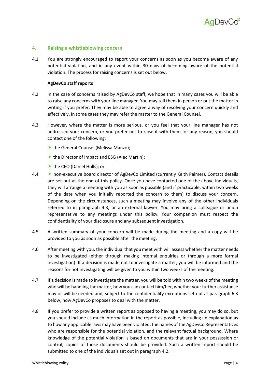

### **4. Raising a whistleblowing concern**

4.1 You are strongly encouraged to report your concerns as soon as you become aware of any potential violation, and in any event within 30 days of becoming aware of the potential violation. The process for raising concerns is set out below.

#### **AgDevCo staff reports**

- 4.2 In the case of concerns raised by AgDevCo staff, we hope that in many cases you will be able to raise any concerns with your line manager. You may tell them in person or put the matter in writing if you prefer. They may be able to agree a way of resolving your concern quickly and effectively. In some cases they may refer the matter to the General Counsel.
- 4.3 However, where the matter is more serious, or you feel that your line manager has not addressed your concern, or you prefer not to raise it with them for any reason, you should contact one of the following:
	- the General Counsel (Melissa Manzo);
	- ▶ the Director of Impact and ESG (Alec Martin);
	- ▶ the CEO (Daniel Hulls); or
- 4.4 non-executive board director of AgDevCo Limited (currently Keith Palmer). Contact details are set out at the end of this policy. Once you have contacted one of the above individuals, they will arrange a meeting with you as soon as possible (and if practicable, within two weeks of the date when you initially reported the concern to them) to discuss your concern. Depending on the circumstances, such a meeting may involve any of the other individuals referred to in paragraph 4.3, or an external lawyer. You may bring a colleague or union representative to any meetings under this policy. Your companion must respect the confidentiality of your disclosure and any subsequent investigation.
- 4.5 A written summary of your concern will be made during the meeting and a copy will be provided to you as soon as possible after the meeting.
- 4.6 After meeting with you, the individual that youmeet with will assess whether the matter needs to be investigated (either through making internal enquiries or through a more formal investigation). If a decision is made not to investigate a matter, you will be informed and the reasons for not investigating will be given to you within two weeks of themeeting.
- 4.7 If a decision is made to investigate the matter, you will be told within two weeks of the meeting who will be handling the matter, how you can contact him/her, whether your further assistance may or will be needed and, subject to the confidentiality exceptions set out at paragraph 6.3 below, how AgDevCo proposes to deal with the matter.
- 4.8 If you prefer to provide a written report as opposed to having a meeting, you may do so, but you should include as much information in the report as possible, including an explanation as to how any applicable laws may have been violated, the names of the AgDevCo Representatives who are responsible for the potential violation, and the relevant factual background. Where knowledge of the potential violation is based on documents that are in your possession or control, copies of those documents should be provided. Such a written report should be submitted to one of the individuals set out in paragraph 4.2.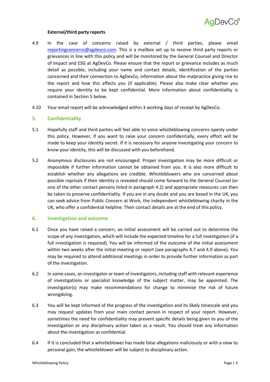

### **External/third party reports**

- 4.9 In the case of concerns raised by external / third parties, please email [reportingconcerns@agdevco.com.](mailto:reportingconcerns@agdevco.com) This is a mailbox set up to receive third party reports or grievances in line with this policy and will be monitored by the General Counsel and Director of Impact and ESG at AgDevCo. Please ensure that the report or grievance includes as much detail as possible, including your name and contact details, identification of the parties concerned and their connection to AgDevCo, information about the malpractice giving rise to the report and how this affects you (if applicable). Please also make clear whether you require your identity to be kept confidential. More information about confidentiality is contained in Section 5 below.
- 4.10 Your email report will be acknowledged within 3 working days of receipt by AgDevCo.

## **5. Confidentiality**

- 5.1 Hopefully staff and third parties will feel able to voice whistleblowing concerns openly under this policy. However, if you want to raise your concern confidentially, every effort will be made to keep your identity secret. If it is necessary for anyone investigating your concern to know your identity, this will be discussed with you beforehand.
- 5.2 Anonymous disclosures are not encouraged. Proper investigation may be more difficult or impossible if further information cannot be obtained from you. It is also more difficult to establish whether any allegations are credible. Whistleblowers who are concerned about possible reprisals if their identity is revealed should come forward to the General Counsel (or one of the other contact persons listed in paragraph 4.2) and appropriate measures can then be taken to preserve confidentiality. If you are in any doubt and you are based in the UK, you can seek advice from Public Concern at Work, the independent whistleblowing charity in the UK, who offer a confidential helpline. Their contact details are at the end of this policy.

### **6. Investigation and outcome**

- 6.1 Once you have raised a concern, an initial assessment will be carried out to determine the scope of any investigation, which will include the expected timeline for a full investigation (if a full investigation is required). You will be informed of the outcome of the initial assessment within two weeks after the initial meeting or report (see paragraphs 4.7 and 4.9 above). You may be required to attend additional meetings in order to provide further information as part of the investigation.
- 6.2 In some cases, an investigator or team of investigators, including staff with relevant experience of investigations or specialist knowledge of the subject matter, may be appointed. The investigator(s) may make recommendations for change to minimise the risk of future wrongdoing.
- 6.3 You will be kept informed of the progress of the investigation and its likely timescale and you may request updates from your main contact person in respect of your report. However, sometimes the need for confidentiality may prevent specific details being given to you of the investigation or any disciplinary action taken as a result. You should treat any information about the investigation as confidential.
- 6.4 If it is concluded that a whistleblower has made false allegations maliciously or with a view to personal gain, the whistleblower will be subject to disciplinary action.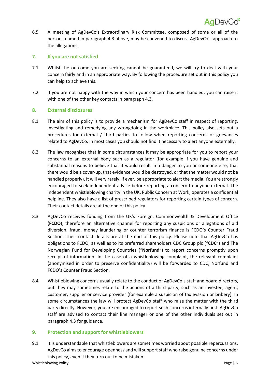6.5 A meeting of AgDevCo's Extraordinary Risk Committee, composed of some or all of the persons named in paragraph 4.3 above, may be convened to discuss AgDevCo's approach to the allegations.

# **7. If you are not satisfied**

- 7.1 Whilst the outcome you are seeking cannot be guaranteed, we will try to deal with your concern fairly and in an appropriate way. By following the procedure set out in this policy you can help to achieve this.
- 7.2 If you are not happy with the way in which your concern has been handled, you can raise it with one of the other key contacts in paragraph 4.3.

# **8. External disclosures**

- 8.1 The aim of this policy is to provide a mechanism for AgDevCo staff in respect of reporting, investigating and remedying any wrongdoing in the workplace. This policy also sets out a procedures for external / third parties to follow when reporting concerns or grievances related to AgDevCo. In most cases you should not find it necessary to alert anyone externally.
- 8.2 The law recognises that in some circumstances it may be appropriate for you to report your concerns to an external body such as a regulator (for example if you have genuine and substantial reasons to believe that it would result in a danger to you or someone else, that there would be a cover-up, that evidence would be destroyed, or that the matter would not be handled properly). It will very rarely, if ever, be appropriate to alert the media. You are strongly encouraged to seek independent advice before reporting a concern to anyone external. The independent whistleblowing charity in the UK, Public Concern at Work, operates a confidential helpline. They also have a list of prescribed regulators for reporting certain types of concern. Their contact details are at the end of this policy.
- 8.3 AgDevCo receives funding from the UK's Foreign, Commonwealth & Development Office (**FCDO**), therefore an alternative channel for reporting any suspicions or allegations of aid diversion, fraud, money laundering or counter terrorism finance is FCDO's Counter Fraud Section. Their contact details are at the end of this policy. Please note that AgDevCo has obligations to FCDO, as well as to its preferred shareholders CDC Group plc ("**CDC**") and The Norwegian Fund for Developing Countries ("**Norfund**") to report concerns promptly upon receipt of information. In the case of a whistleblowing complaint, the relevant complaint (anonymised in order to preserve confidentiality) will be forwarded to CDC, Norfund and FCDO's Counter Fraud Section.
- 8.4 Whistleblowing concerns usually relate to the conduct of AgDevCo's staff and board directors, but they may sometimes relate to the actions of a third party, such as an investee, agent, customer, supplier or service provider (for example a suspicion of tax evasion or bribery). In some circumstances the law will protect AgDevCo staff who raise the matter with the third party directly. However, you are encouraged to report such concerns internally first. AgDevCo staff are advised to contact their line manager or one of the other individuals set out in paragraph 4.3 for guidance.

# **9. Protection and support for whistleblowers**

9.1 It is understandable that whistleblowers are sometimes worried about possible repercussions. AgDevCo aims to encourage openness and will support staff who raise genuine concerns under this policy, even if they turn out to be mistaken.